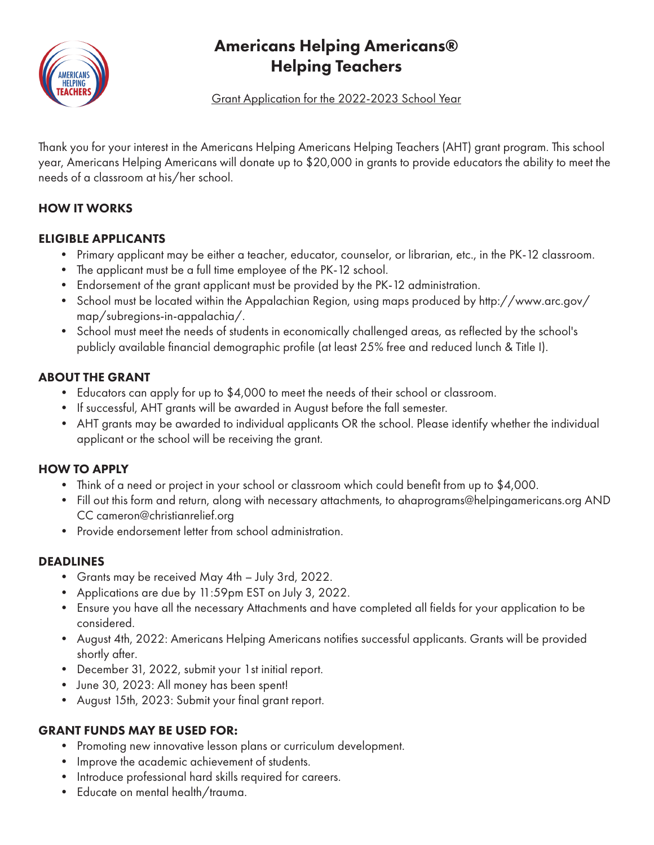

## Americans Helping Americans® Helping Teachers

Grant Application for the 2022-2023 School Year

Thank you for your interest in the Americans Helping Americans Helping Teachers (AHT) grant program. This school year, Americans Helping Americans will donate up to \$20,000 in grants to provide educators the ability to meet the needs of a classroom at his/her school.

#### HOW IT WORKS

#### ELIGIBLE APPLICANTS

- Primary applicant may be either a teacher, educator, counselor, or librarian, etc., in the PK-12 classroom.
- The applicant must be a full time employee of the PK-12 school.
- Endorsement of the grant applicant must be provided by the PK-12 administration.
- School must be located within the Appalachian Region, using maps produced by http://www.arc.gov/ map/subregions-in-appalachia/.
- School must meet the needs of students in economically challenged areas, as reflected by the school's publicly available financial demographic profile (at least 25% free and reduced lunch & Title I).

#### ABOUT THE GRANT

- Educators can apply for up to \$4,000 to meet the needs of their school or classroom.
- If successful, AHT grants will be awarded in August before the fall semester.
- AHT grants may be awarded to individual applicants OR the school. Please identify whether the individual applicant or the school will be receiving the grant.

#### HOW TO APPLY

- Think of a need or project in your school or classroom which could benefit from up to \$4,000.
- Fill out this form and return, along with necessary attachments, to ahaprograms@helpingamericans.org AND CC cameron@christianrelief.org
- Provide endorsement letter from school administration.

#### DEADLINES

- Grants may be received May 4th July 3rd, 2022.
- Applications are due by 11:59pm EST on July 3, 2022.
- Ensure you have all the necessary Attachments and have completed all fields for your application to be considered.
- August 4th, 2022: Americans Helping Americans notifies successful applicants. Grants will be provided shortly after.
- December 31, 2022, submit your 1st initial report.
- June 30, 2023: All money has been spent!
- August 15th, 2023: Submit your final grant report.

#### GRANT FUNDS MAY BE USED FOR:

- Promoting new innovative lesson plans or curriculum development.
- Improve the academic achievement of students.
- Introduce professional hard skills required for careers.
- Educate on mental health/trauma.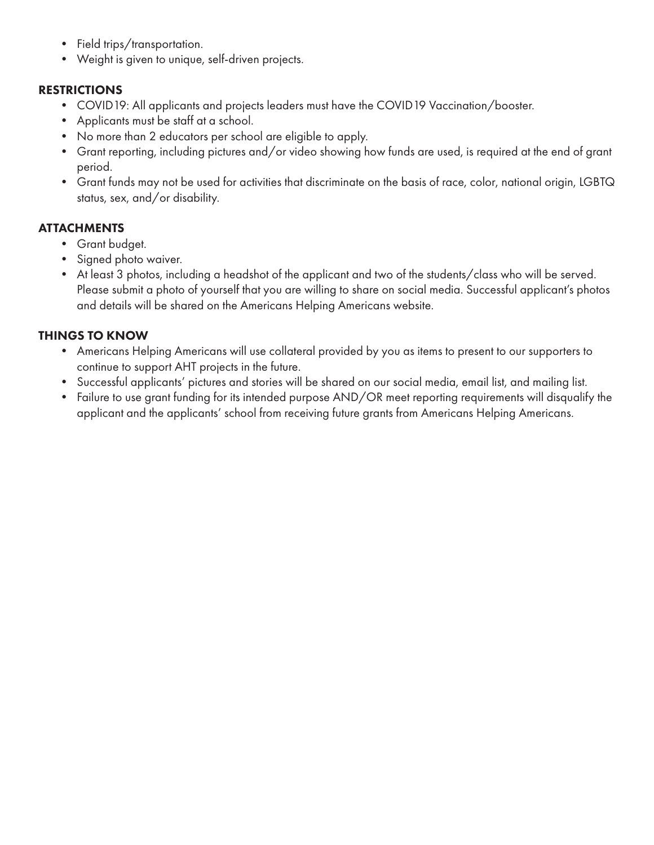- Field trips/transportation.
- Weight is given to unique, self-driven projects.

#### RESTRICTIONS

- COVID19: All applicants and projects leaders must have the COVID19 Vaccination/booster.
- Applicants must be staff at a school.
- No more than 2 educators per school are eligible to apply.
- Grant reporting, including pictures and/or video showing how funds are used, is required at the end of grant period.
- Grant funds may not be used for activities that discriminate on the basis of race, color, national origin, LGBTQ status, sex, and/or disability.

#### **ATTACHMENTS**

- Grant budget.
- Signed photo waiver.
- At least 3 photos, including a headshot of the applicant and two of the students/class who will be served. Please submit a photo of yourself that you are willing to share on social media. Successful applicant's photos and details will be shared on the Americans Helping Americans website.

#### THINGS TO KNOW

- Americans Helping Americans will use collateral provided by you as items to present to our supporters to continue to support AHT projects in the future.
- Successful applicants' pictures and stories will be shared on our social media, email list, and mailing list.
- Failure to use grant funding for its intended purpose AND/OR meet reporting requirements will disqualify the applicant and the applicants' school from receiving future grants from Americans Helping Americans.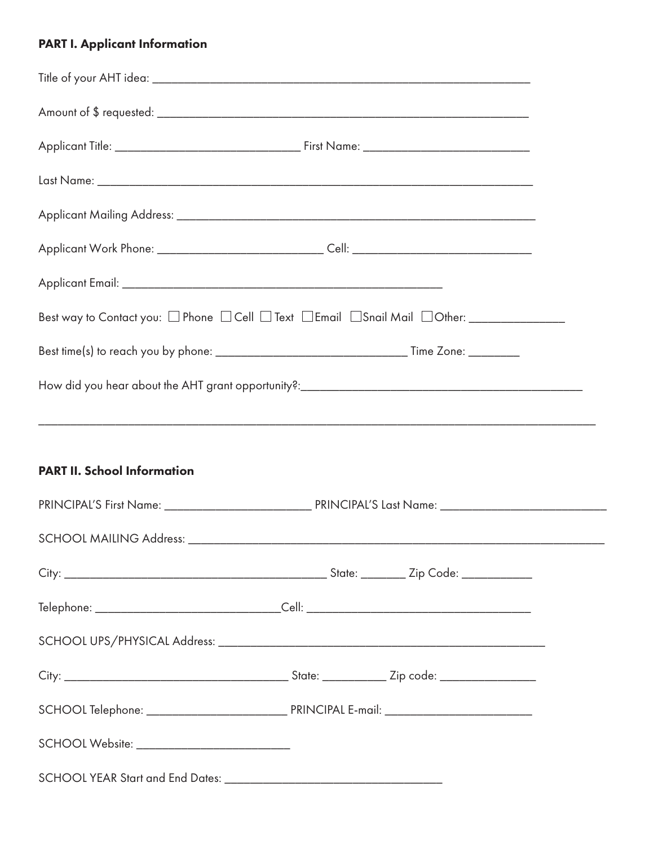### PART I. Applicant Information

| Applicant Work Phone: ________________________________Cell: ____________________             |  |  |  |  |
|----------------------------------------------------------------------------------------------|--|--|--|--|
|                                                                                              |  |  |  |  |
| Best way to Contact you: □ Phone □ Cell □ Text □ Email □ Snail Mail □ Other: _______________ |  |  |  |  |
|                                                                                              |  |  |  |  |
|                                                                                              |  |  |  |  |
|                                                                                              |  |  |  |  |
|                                                                                              |  |  |  |  |
| <b>PART II. School Information</b>                                                           |  |  |  |  |
|                                                                                              |  |  |  |  |
|                                                                                              |  |  |  |  |
|                                                                                              |  |  |  |  |
|                                                                                              |  |  |  |  |
|                                                                                              |  |  |  |  |
|                                                                                              |  |  |  |  |
|                                                                                              |  |  |  |  |
| SCHOOL Website: __________________________                                                   |  |  |  |  |
|                                                                                              |  |  |  |  |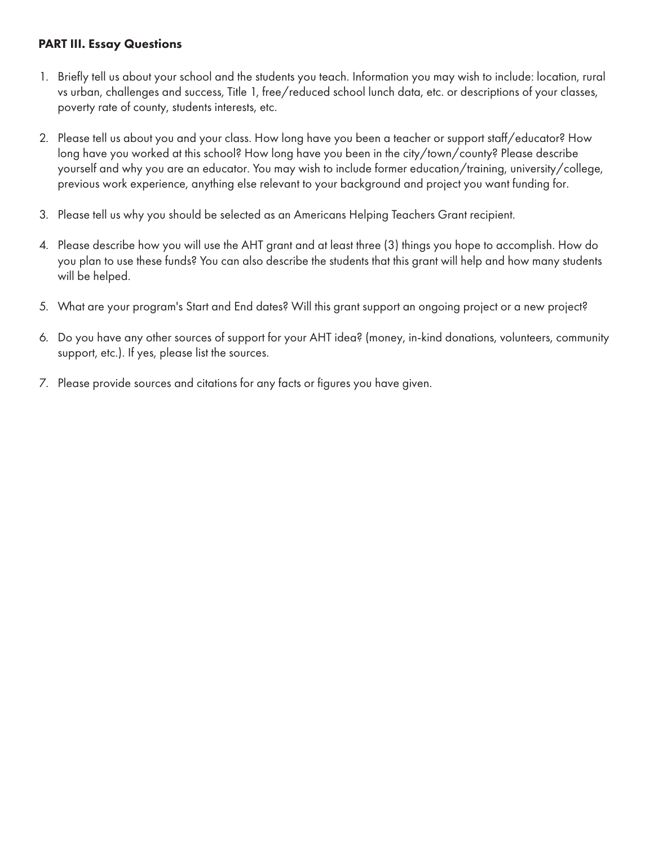#### PART III. Essay Questions

- 1. Briefly tell us about your school and the students you teach. Information you may wish to include: location, rural vs urban, challenges and success, Title 1, free/reduced school lunch data, etc. or descriptions of your classes, poverty rate of county, students interests, etc.
- 2. Please tell us about you and your class. How long have you been a teacher or support staff/educator? How long have you worked at this school? How long have you been in the city/town/county? Please describe yourself and why you are an educator. You may wish to include former education/training, university/college, previous work experience, anything else relevant to your background and project you want funding for.
- 3. Please tell us why you should be selected as an Americans Helping Teachers Grant recipient.
- 4. Please describe how you will use the AHT grant and at least three (3) things you hope to accomplish. How do you plan to use these funds? You can also describe the students that this grant will help and how many students will be helped.
- 5. What are your program's Start and End dates? Will this grant support an ongoing project or a new project?
- 6. Do you have any other sources of support for your AHT idea? (money, in-kind donations, volunteers, community support, etc.). If yes, please list the sources.
- 7. Please provide sources and citations for any facts or figures you have given.